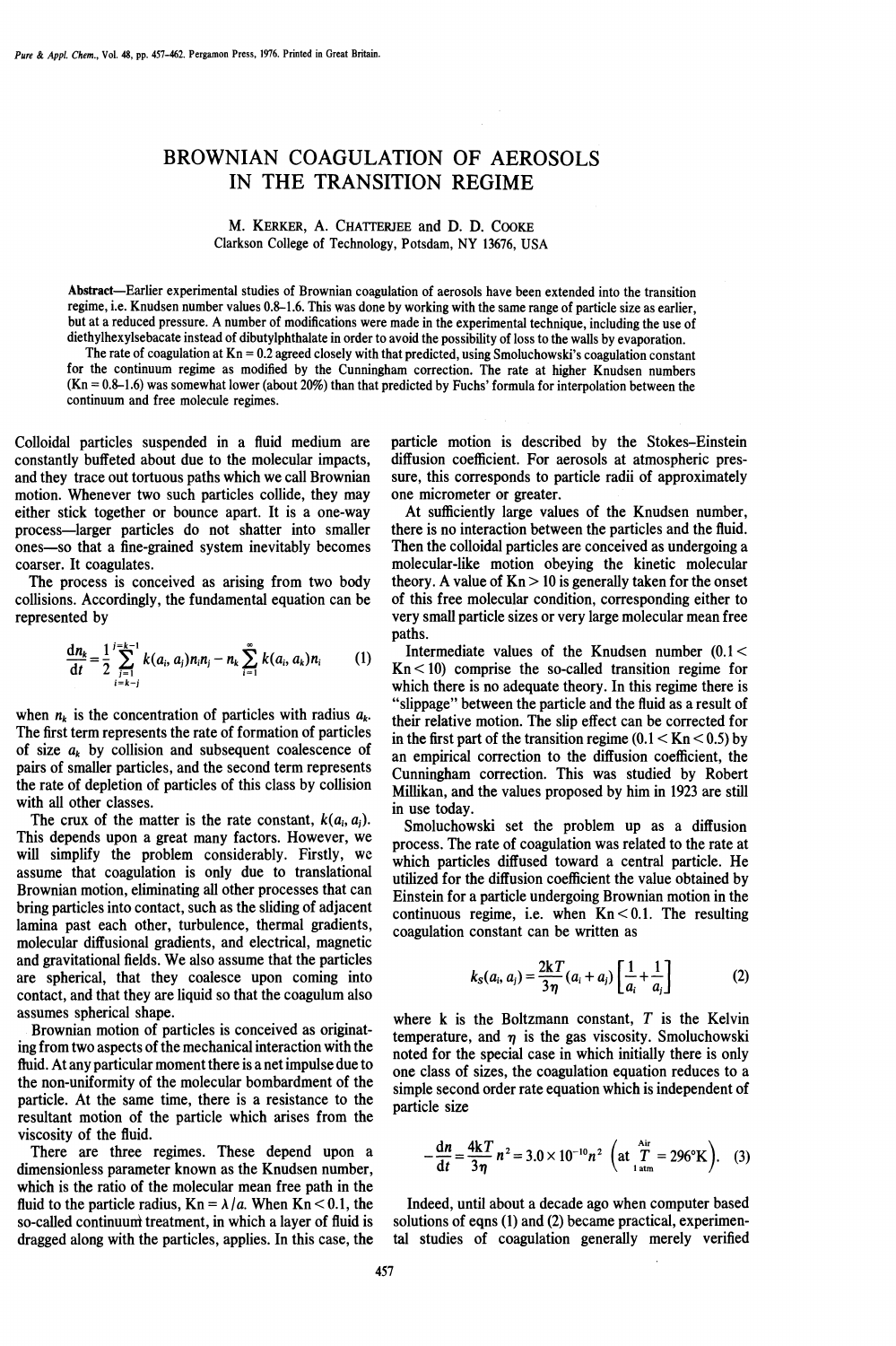## BROWNIAN COAGULATION OF AEROSOLS IN THE TRANSITION REGIME

M. KERKER, A. CHATFERJEE and D. D. CooKE Clarkson College of Technology, Potsdam, NY 13676, USA

Abstract—Earlier experimental studies of Brownian coagulation of aerosols have been extended into the transition regime, i.e. Knudsen number values 0.8-1.6. This was done by working with the same range of particle size as earlier, but at a reduced pressure. A number of modffications were made in the experimental technique, including the use of diethylhexylsebacate instead of dibutylphthalate in order to avoid the possibility of loss to the walls by evaporation.

The rate of coagulation at  $Kn = 0.2$  agreed closely with that predicted, using Smoluchowski's coagulation constant for the continuum regime as modified by the Cunningham correction. The rate at higher Knudsen numbers  $(Kn = 0.8-1.6)$  was somewhat lower (about 20%) than that predicted by Fuchs' formula for interpolation between the continuum and free molecule regimes.

Colloidal particles suspended in a fluid medium are constantly buffeted about due to the molecular impacts, and they trace out tortuous paths which we call Brownian motion. Whenever two such particles collide, they may either stick together or bounce apart. It is a one-way process—larger particles do not shatter into smaller ones—so that a fine-grained system inevitably becomes coarser. It coagulates.

The process is conceived as arising from two body collisions. Accordingly, the fundamental equation can be represented by

$$
\frac{d n_k}{d t} = \frac{1}{2} \sum_{\substack{j=1 \\ i=k-i}}^{j=k-1} k(a_i, a_j) n_i n_j - n_k \sum_{i=1}^{\infty} k(a_i, a_k) n_i
$$
 (1)  $\prod_{\substack{k=1 \\ j=k-i}}^{n} k(a_k, a_k) n_i$ 

when  $n_k$  is the concentration of particles with radius  $a_k$ . The first term represents the rate of formation of particles of size  $a_k$  by collision and subsequent coalescence of pairs of smaller particles, and the second term represents the rate of depletion of particles of this class by collision with all other classes.

The crux of the matter is the rate constant,  $k(a_i, a_j)$ . This depends upon a great many factors. However, we will simplify the problem considerably. Firstly, we assume that coagulation is only due to translational Brownian motion, eliminating all other processes that can bring particles into contact, such as the sliding of adjacent lamina past each other, turbulence, thermal gradients, molecular diffusional gradients, and electrical, magnetic and gravitational fields. We also assume that the particles are spherical, that they coalesce upon coming into contact, and that they are liquid so that the coagulum also assumes spherical shape.

Brownian motion of particles is conceived as originating from two aspects of the mechanical interaction with the fluid. At any particular moment there is anet impulse due to the non-uniformity of the molecular bombardment of the particle. At the same time, there is a resistance to the resultant motion of the particle which arises from the viscosity of the fluid.

There are three regimes. These depend upon a dimensionless parameter known as the Knudsen number, which is the ratio of the molecular mean free path in the fluid to the particle radius,  $Kn = \lambda/a$ . When  $Kn < 0.1$ , the so-called continuum treatment, in which a layer of fluid is dragged along with the particles, applies. In this case, the particle motion is described by the Stokes—Einstein diffusion coefficient. For aerosols at atmospheric pressure, this corresponds to particle radii of approximately one micrometer or greater.

At sufficiently large values of the Knudsen number, there is no interaction between the particles and the fluid. Then the colloidal particles are conceived as undergoing a molecular-like motion obeying the kinetic molecular theory. A value of  $Kn > 10$  is generally taken for the onset of this free molecular condition, corresponding either to very small particle sizes or very large molecular mean free

Intermediate values of the Knudsen number  $(0.1 <$  $Kn < 10$ ) comprise the so-called transition regime for which there is no adequate theory. In this regime there is "slippage" between the particle and the fluid as a result of their relative motion. The slip effect can be corrected for in the first part of the transition regime  $(0.1 < Kn < 0.5)$  by an empirical correction to the diffusion coefficient, the Cunningham correction. This was studied by Robert Millikan, and the values proposed by him in 1923 are still in use today.

Smoluchowski set the problem up as a diffusion process. The rate of coagulation was related to the rate at which particles diffused toward a central particle. He utilized for the diffusion coefficient the value obtained by Einstein for a particle undergoing Brownian motion in the continuous regime, i.e. when  $Kn < 0.1$ . The resulting coagulation constant can be written as

$$
k_S(a_i, a_j) = \frac{2kT}{3\eta}(a_i + a_j) \left[ \frac{1}{a_i} + \frac{1}{a_j} \right]
$$
 (2)

where k is the Boltzmann constant,  $T$  is the Kelvin temperature, and  $\eta$  is the gas viscosity. Smoluchowski noted for the special case in which initially there is only one class of sizes, the coagulation equation reduces to a simple second order rate equation which is independent of particle size

$$
-\frac{dn}{dt} = \frac{4kT}{3\eta} n^2 = 3.0 \times 10^{-10} n^2 \left( \text{at }_{1 \text{ atm}}^T = 296^\circ \text{K} \right). \quad (3)
$$

Indeed, until about a decade ago when computer based solutions of eqns (1) and (2) became practical, experimental studies of coagulation generally merely verified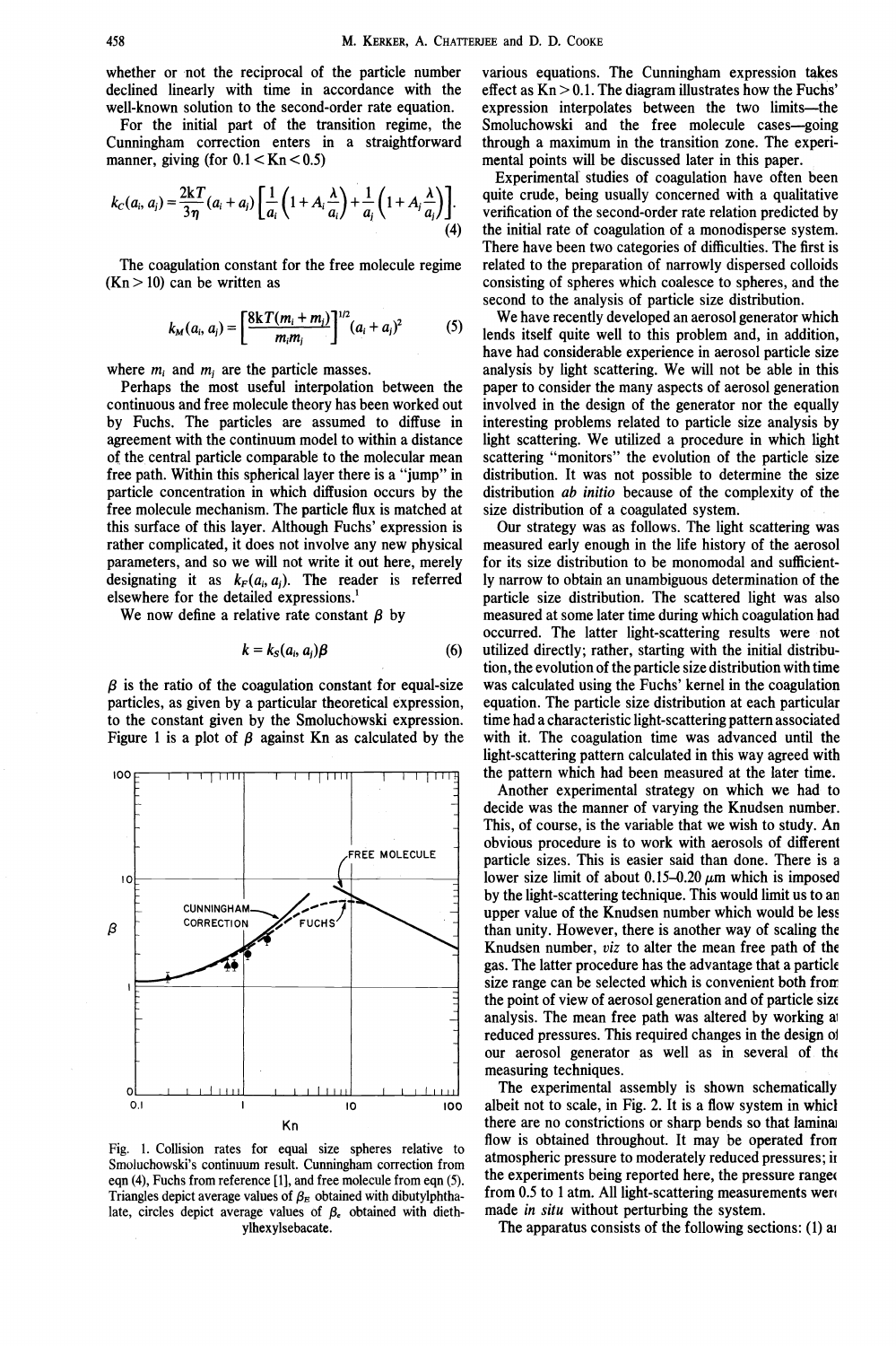whether or not the reciprocal of the particle number declined linearly with time in accordance with the well-known solution to the second-order rate equation.

For the initial part of the transition regime, the Cunningham correction enters in a straightforward manner, giving (for  $0.1 <$ Kn $< 0.5$ )

$$
k_C(a_i, a_j) = \frac{2kT}{3\eta}(a_i + a_j) \left[ \frac{1}{a_i} \left( 1 + A_i \frac{\lambda}{a_i} \right) + \frac{1}{a_i} \left( 1 + A_i \frac{\lambda}{a_j} \right) \right].
$$

The coagulation constant for the free molecule regime  $(Kn > 10)$  can be written as

$$
k_M(a_i, a_j) = \left[\frac{8kT(m_i + m_j)}{m_i m_j}\right]^{1/2} (a_i + a_j)^2
$$
 (5)

where  $m_i$  and  $m_j$  are the particle masses.

Perhaps the most useful interpolation between the continuous and free molecule theory has been worked out by Fuchs. The particles are assumed to diffuse in agreement with the continuum model to within a distance of the central particle comparable to the molecular mean free path. Within this spherical layer there is a "jump" in particle concentration in which diffusion occurs by the free molecule mechanism. The particle flux is matched at this surface of this layer. Although Fuchs' expression is rather complicated, it does not involve any new physical parameters, and so we will not write it out here, merely designating it as  $k_F(a_i, a_i)$ . The reader is referred elsewhere for the detailed expressions.<sup>1</sup>

We now define a relative rate constant  $\beta$  by

$$
k = k_S(a_i, a_j)\beta \tag{6}
$$

 $\beta$  is the ratio of the coagulation constant for equal-size particles, as given by a particular theoretical expression, to the constant given by the Smoluchowski expression. Figure 1 is a plot of  $\beta$  against Kn as calculated by the



Fig. 1. Collision rates for equal size spheres relative to Smoluchowski's continuum result. Cunningham correction from eqn (4), Fuchs from reference [1], and free molecule from eqn (5). Triangles depict average values of  $\beta_E$  obtained with dibutylphthalate, circles depict average values of  $\beta_e$  obtained with diethylhexylsebacate.

various equations. The Cunningham expression takes effect as  $Kn > 0.1$ . The diagram illustrates how the Fuchs' expression interpolates between the two limits—the Smoluchowski and the free molecule cases—going through a maximum in the transition zone. The experimental points will be discussed later in this paper.

Experimental' studies of coagulation have often been quite crude, being usually concerned with a qualitative verification of the second-order rate relation predicted by  $(4)$  the initial rate of coagulation of a monodisperse system. There have been two categories of difficulties. The first is related to the preparation of narrowly dispersed colloids consisting of spheres which coalesce to spheres, and the second to the analysis of particle size distribution.

We have recently developed an aerosol generator which If the latter recently developed an deroson generator which<br>lends itself quite well to this problem and, in addition, have had considerable experience in aerosol particle size analysis by light scattering. We will not be able in this paper to consider the many aspects of aerosol generation involved in the design of the generator nor the equally interesting problems related to particle size analysis by light scattering. We utilized a procedure in which light scattering "monitors" the evolution of the particle size distribution. It was not possible to determine the size distribution *ab initio* because of the complexity of the size distribution of a coagulated system.

Our strategy was as follows. The light scattering was measured early enough in the life history of the aerosol for its size distribution to be monomodal and sufficiently narrow to obtain an unambiguous determination of the particle size distribution. The scattered light was also measured at some later time during which coagulation had occurred. The latter light-scattering results were not utilized directly; rather, starting with the initial distribu-(6) tion, the evolution of the particle size distribution with time was calculated using the Fuchs' kernel in the coagulation equation. The particle size distribution at each particular time had a characteristic light-scattering pattern associated with it. The coagulation time was advanced until the light-scattering pattern calculated in this way agreed with the pattern which had been measured at the later time.

Another experimental strategy on which we had to decide was the manner of varying the Knudsen number. This, of course, is the variable that we wish to study. An obvious procedure is to work with aerosols of different particle sizes. This is easier said than done. There is a lower size limit of about 0.15–0.20  $\mu$ m which is imposed by the light-scattering technique. This would limit us to an upper value of the Knudsen number which would be less than unity. However, there is another way of scaling the Knudsen number, viz to alter the mean free path of the gas. The latter procedure has the advantage that a particle size range can be selected which is convenient both from the point of view of aerosol generation and of particle size analysis. The mean free path was altered by working ai reduced pressures. This required changes in the design o our aerosol generator as well as in several of th measuring techniques.

The experimental assembly is shown schematically  $\frac{1}{100}$  10  $\frac{1}{100}$  100 albeit not to scale, in Fig. 2. It is a flow system in which there are no constrictions or sharp bends so that laminai flow is obtained throughout. It may be operated from atmospheric pressure to moderately reduced pressures; ii the experiments being reported here, the pressure range from 0.5 to 1 atm. All light-scattering measurements wen made in situ without perturbing the system.

The apparatus consists of the following sections: (1) ai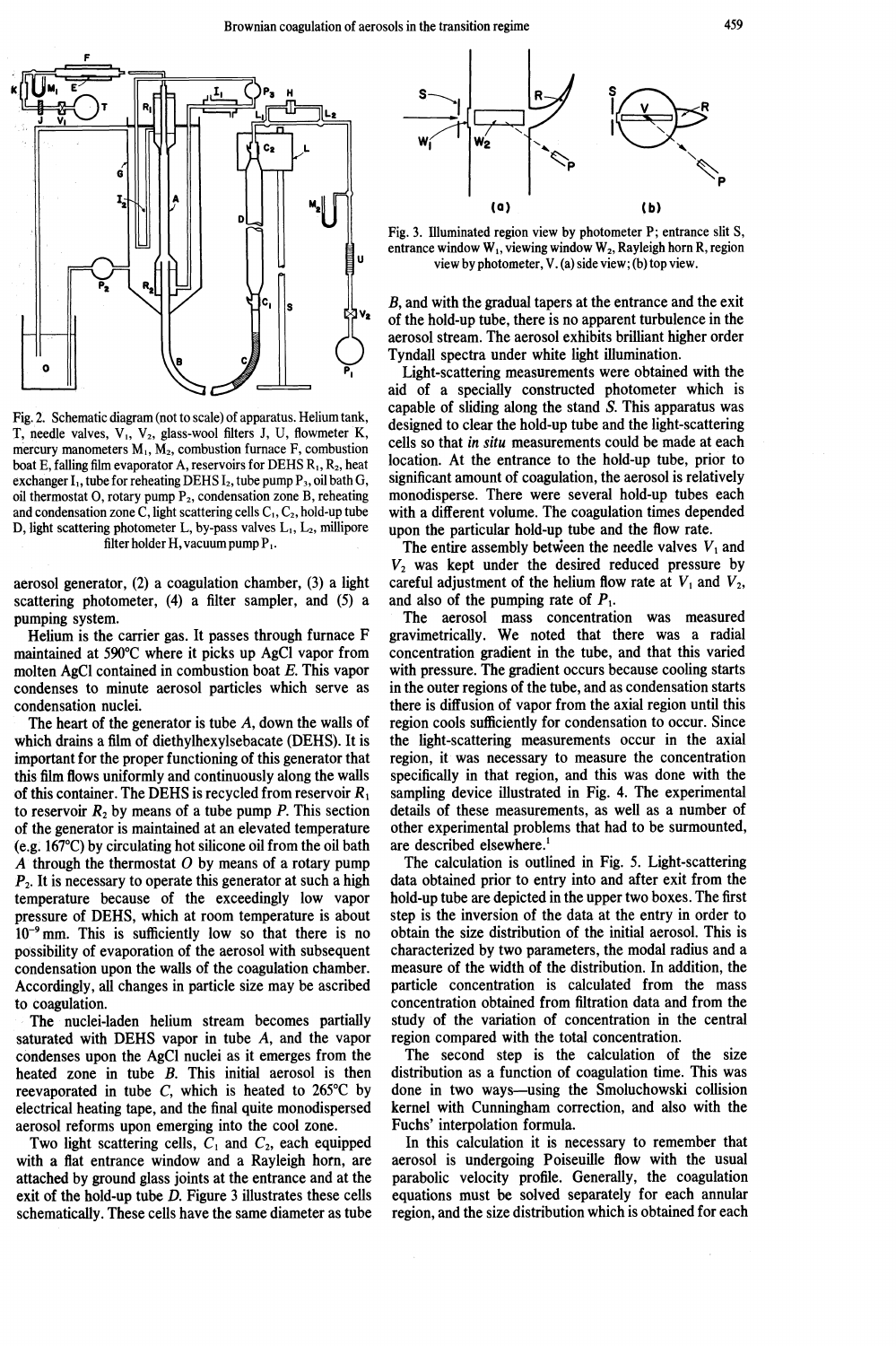

Fig. 2. Schematic diagram (not to scale) of apparatus. Heliumtank, T, needle valves, V<sub>1</sub>, V<sub>2</sub>, glass-wool filters J, U, flowmeter K, mercury manometers  $M_1$ ,  $M_2$ , combustion furnace F, combustion boat E, falling film evaporator A, reservoirs for DEHS  $R_1, R_2$ , heat exchanger  $I_1$ , tube for reheating DEHS  $I_2$ , tube pump  $P_3$ , oil bath G, oil thermostat O, rotary pump P<sub>2</sub>, condensation zone B, reheating and condensation zone C, light scattering cells  $C_1$ ,  $C_2$ , hold-up tube D, light scattering photometer L, by-pass valves  $L_1$ ,  $L_2$ , millipore filter holder H, vacuum pump  $P_1$ .

aerosol generator, (2) a coagulation chamber, (3) a light scattering photometer, (4) a filter sampler, and (5) a pumping system.

Helium is the carrier gas. It passes through furnace F maintained at 590°C where it picks up AgCl vapor from molten AgC1 contained in combustion boat E. This vapor condenses to minute aerosol particles which serve as condensation nuclei.

The heart of the generator is tube A, down the walls of which drains a film of diethylhexylsebacate (DEHS). It is important for the proper functioning of this generator that this film flows uniformly and continuously along the walls of this container. The DEHS is recycled from reservoir  $R_1$ to reservoir  $R_2$  by means of a tube pump P. This section of the generator is maintained at an elevated temperature (e.g. 167°C) by circulating hot silicone oil from the oil bath A through the thermostat  $O$  by means of a rotary pump  $P<sub>2</sub>$ . It is necessary to operate this generator at such a high temperature because of the exceedingly low vapor pressure of DEHS, which at room temperature is about  $10^{-9}$  mm. This is sufficiently low so that there is no possibility of evaporation of the aerosol with subsequent condensation upon the walls of the coagulation chamber. Accordingly, all changes in particle size may be ascribed to coagulation.

The nuclei-laden helium stream becomes partially saturated with DEHS vapor in tube A, and the vapor condenses upon the AgCl nuclei as it emerges from the heated zone in tube B. This initial aerosol is then reevaporated in tube C, which is heated to  $265^{\circ}$ C by electrical heating tape, and the final quite monodispersed aerosol reforms upon emerging into the cool zone.

Two light scattering cells,  $C_1$  and  $C_2$ , each equipped with a flat entrance window and a Rayleigh horn, are attached by ground glass joints at the entrance and at the exit of the hold-up tube D. Figure 3 illustrates these cells schematically. These cells have the same diameter as tube



Fig. 3. Illuminated region view by photometer P; entrance slit 5, entrance window  $W_1$ , viewing window  $W_2$ , Rayleigh horn R, region view by photometer, V.(a) side view; (b) top view.

B, and with the gradual tapers at the entrance and the exit of the hold-up tube, there is no apparent turbulence in the aerosol stream. The aerosol exhibits brilliant higher order Tyndall spectra under white light illumination.

Light-scattering measurements were obtained with the aid of a specially constructed photometer which is capable of sliding along the stand S. This apparatus was designed to clear the hold-up tube and the light-scattering cells so that in situ measurements could be made at each location. At the entrance to the hold-up tube, prior to significant amount of coagulation, the aerosol is relatively monodisperse. There were several hold-up tubes each with a different volume. The coagulation times depended upon the particular hold-up tube and the flow rate.

The entire assembly between the needle valves  $V_1$  and  $V_2$  was kept under the desired reduced pressure by careful adjustment of the helium flow rate at  $V_1$  and  $V_2$ , and also of the pumping rate of  $P_1$ .

The aerosol mass concentration was measured gravimetrically. We noted that there was a radial concentration gradient in the tube, and that this varied with pressure. The gradient occurs because cooling starts in the outer regions of the tube, and as condensation starts there is diffusion of vapor from the axial region until this region cools sufficiently for condensation to occur. Since the light-scattering measurements occur in the axial region, it was necessary to measure the concentration specifically in that region, and this was done with the sampling device illustrated in Fig. 4. The experimental details of these measurements, as well as a number of other experimental problems that had to be surmounted, are described elsewhere.'

The calculation is outlined in Fig. 5. Light-scattering data obtained prior to entry into and after exit from the hold-up tube are depicted in the upper two boxes. The first step is the inversion of the data at the entry in order to obtain the size distribution of the initial aerosol. This is characterized by two parameters, the modal radius and a measure of the width of the distribution. In addition, the particle concentration is calculated from the mass concentration obtained from filtration data and from the study of the variation of concentration in the central region compared with the total concentration.

The second step is the calculation of the size distribution as a function of coagulation time. This was done in two ways—using the Smoluchowski collision kernel with Cunningham correction, and also with the Fuchs' interpolation formula.

In this calculation it is necessary to remember that aerosol is undergoing Poiseuille flow with the usual parabolic velocity profile. Generally, the coagulation equations must be solved separately for each annular region, and the size distribution which is obtained for each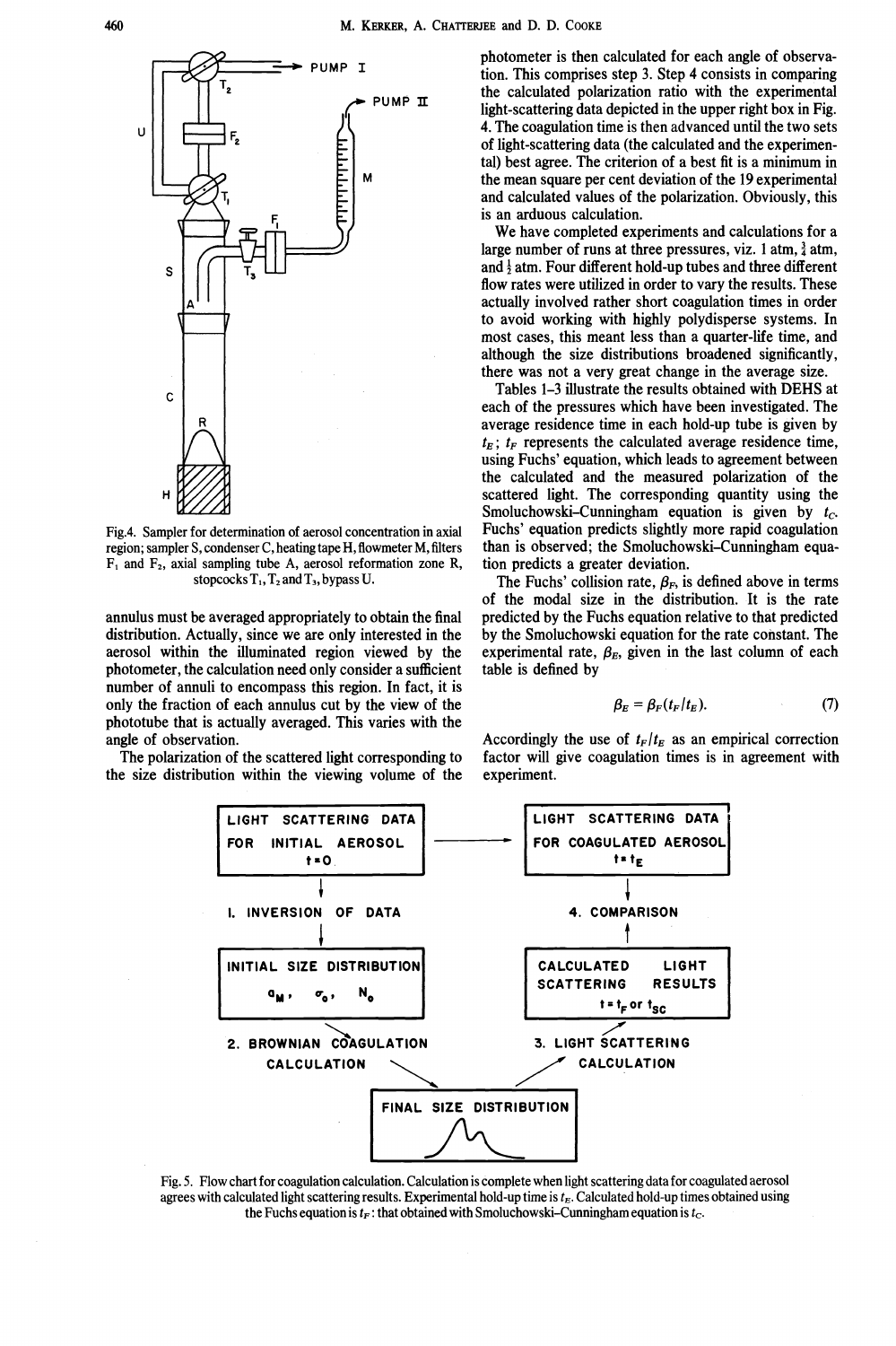

Fig.4. Sampler for determination of aerosol concentration in axial region; sampler S, condenser C, heating tape H, flowmeter M, filters  $F_1$  and  $F_2$ , axial sampling tube A, aerosol reformation zone R, stopcocks  $T_1$ ,  $T_2$  and  $T_3$ , bypass U.

annulus must be averaged appropriately to obtain the final distribution. Actually, since we are only interested in the aerosol within the illuminated region viewed by the photometer, the calculation need only consider a sufficient number of annuli to encompass this region. In fact, it is only the fraction of each annulus cut by the view of the phototube that is actually averaged. This varies with the angle of observation.

The polarization of the scattered light corresponding to the size distribution within the viewing volume of the photometer is then calculated for each angle of observation. This comprises step 3. Step 4 consists in comparing the calculated polarization ratio with the experimental light-scattering data depicted in the upper right box in Fig. 4. The coagulation time is then advanced until the two sets of light-scattering data (the calculated and the experimental) best agree. The criterion of a best fit is a minimum in the mean square per cent deviation of the 19 experimental and calculated values of the polarization. Obviously, this is an arduous calculation.

We have completed experiments and calculations for a large number of runs at three pressures, viz. 1 atm,  $\frac{3}{4}$  atm, and  $\frac{1}{2}$  atm. Four different hold-up tubes and three different flow rates were utilized in order to vary the results. These actually involved rather short coagulation times in order to avoid working with highly polydisperse systems. In most cases, this meant less than a quarter-life time, and although the size distributions broadened significantly, there was not a very great change in the average size.

Tables 1—3 illustrate the results obtained with DEHS at each of the pressures which have been investigated. The average residence time in each hold-up tube is given by  $t_E$ ;  $t_F$  represents the calculated average residence time, using Fuchs' equation, which leads to agreement between the calculated and the measured polarization of the scattered light. The corresponding quantity using the Smoluchowski–Cunningham equation is given by  $t_c$ . Fuchs' equation predicts slightly more rapid coagulation than is observed; the Smoluchowski—Cunningham equation predicts a greater deviation.

The Fuchs' collision rate,  $\beta_F$ , is defined above in terms of the modal size in the distribution. It is the rate predicted by the Fuchs equation relative to that predicted by the Smoluchowski equation for the rate constant. The experimental rate,  $\beta_E$ , given in the last column of each table is defined by

$$
\beta_E = \beta_F(t_F/t_E). \tag{7}
$$

Accordingly the use of  $t_F/t_E$  as an empirical correction factor will give coagulation times is in agreement with experiment.



Fig. 5. Flow chart for coagulation calculation. Calculation is complete when light scattering data for coagulated aerosol agrees with calculated light scattering results. Experimental hold-up time is  $t<sub>E</sub>$ . Calculated hold-up times obtained using the Fuchs equation is  $t_F$ : that obtained with Smoluchowski–Cunningham equation is  $t_C$ .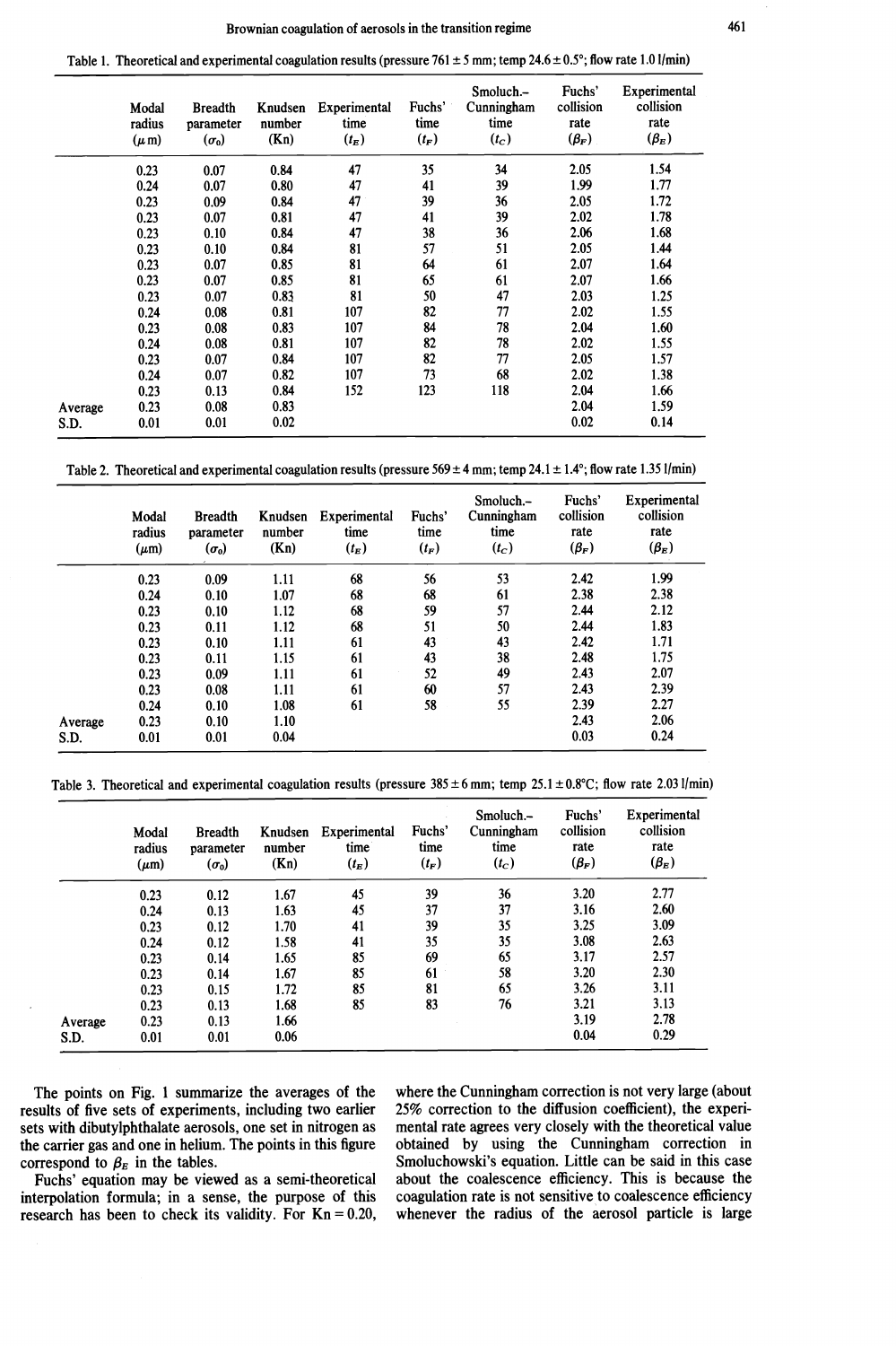Table 1. Theoretical and experimental coagulation results (pressure 761  $\pm$  5 mm; temp 24.6  $\pm$  0.5°; flow rate 1.01/min)

|         | Modal<br>radius<br>$(\mu m)$ | <b>Breadth</b><br>parameter<br>$(\sigma_0)$ | Knudsen<br>number<br>(Kn) | Experimental<br>time<br>$(t_E)$ | Fuchs'<br>time<br>$(t_F)$ | Smoluch.-<br>Cunningham<br>time<br>$(t_c)$ | Fuchs'<br>collision<br>rate<br>$(\beta_F)$ | Experimental<br>collision<br>rate<br>$(\beta_E)$ |
|---------|------------------------------|---------------------------------------------|---------------------------|---------------------------------|---------------------------|--------------------------------------------|--------------------------------------------|--------------------------------------------------|
|         | 0.23                         | 0.07                                        | 0.84                      | 47                              | 35                        | 34                                         | 2.05                                       | 1.54                                             |
|         | 0.24                         | 0.07                                        | 0.80                      | 47                              | 41                        | 39                                         | 1.99                                       | 1.77                                             |
|         | 0.23                         | 0.09                                        | 0.84                      | 47                              | 39                        | 36                                         | 2.05                                       | 1.72                                             |
|         | 0.23                         | 0.07                                        | 0.81                      | 47                              | 41                        | 39                                         | 2.02                                       | 1.78                                             |
|         | 0.23                         | 0.10                                        | 0.84                      | 47                              | 38                        | 36                                         | 2.06                                       | 1.68                                             |
|         | 0.23                         | 0.10                                        | 0.84                      | 81                              | 57                        | 51                                         | 2.05                                       | 1.44                                             |
|         | 0.23                         | 0.07                                        | 0.85                      | 81                              | 64                        | 61                                         | 2.07                                       | 1.64                                             |
|         | 0.23                         | 0.07                                        | 0.85                      | 81                              | 65                        | 61                                         | 2.07                                       | 1.66                                             |
|         | 0.23                         | 0.07                                        | 0.83                      | 81                              | 50                        | 47                                         | 2.03                                       | 1.25                                             |
|         | 0.24                         | 0.08                                        | 0.81                      | 107                             | 82                        | 77                                         | 2.02                                       | 1.55                                             |
|         | 0.23                         | 0.08                                        | 0.83                      | 107                             | 84                        | 78                                         | 2.04                                       | 1.60                                             |
|         | 0.24                         | 0.08                                        | 0.81                      | 107                             | 82                        | 78                                         | 2.02                                       | 1.55                                             |
|         | 0.23                         | 0.07                                        | 0.84                      | 107                             | 82                        | 77                                         | 2.05                                       | 1.57                                             |
|         | 0.24                         | 0.07                                        | 0.82                      | 107                             | 73                        | 68                                         | 2.02                                       | 1.38                                             |
|         | 0.23                         | 0.13                                        | 0.84                      | 152                             | 123                       | 118                                        | 2.04                                       | 1.66                                             |
| Average | 0.23                         | 0.08                                        | 0.83                      |                                 |                           |                                            | 2.04                                       | 1.59                                             |
| S.D.    | 0.01                         | 0.01                                        | 0.02                      |                                 |                           |                                            | 0.02                                       | 0.14                                             |

Table 2. Theoretical and experimental coagulation results (pressure  $569 \pm 4$  mm; temp 24.1  $\pm$  1.4°; flow rate 1.35 1/min)

|         | Modal<br>radius<br>$(\mu m)$ | <b>Breadth</b><br>parameter<br>$(\sigma_0)$ | Knudsen<br>number<br>(Kn) | Experimental<br>time<br>$(t_E)$ | Fuchs'<br>time<br>$(t_F)$ | Smoluch.-<br>Cunningham<br>time<br>$(t_c)$ | Fuchs'<br>collision<br>rate<br>$(\beta_F)$ | Experimental<br>collision<br>rate<br>$(\beta_E)$ |
|---------|------------------------------|---------------------------------------------|---------------------------|---------------------------------|---------------------------|--------------------------------------------|--------------------------------------------|--------------------------------------------------|
|         | 0.23                         | 0.09                                        | 1.11                      | 68                              | 56                        | 53                                         | 2.42                                       | 1.99                                             |
|         | 0.24                         | 0.10                                        | 1.07                      | 68                              | 68                        | 61                                         | 2.38                                       | 2.38                                             |
|         | 0.23                         | 0.10                                        | 1.12                      | 68                              | 59                        | 57                                         | 2.44                                       | 2.12                                             |
|         | 0.23                         | 0.11                                        | 1.12                      | 68                              | 51                        | 50                                         | 2.44                                       | 1.83                                             |
|         | 0.23                         | 0.10                                        | 1.11                      | 61                              | 43                        | 43                                         | 2.42                                       | 1.71                                             |
|         | 0.23                         | 0.11                                        | 1.15                      | 61                              | 43                        | 38                                         | 2.48                                       | 1.75                                             |
|         | 0.23                         | 0.09                                        | 1.11                      | 61                              | 52                        | 49                                         | 2.43                                       | 2.07                                             |
|         | 0.23                         | 0.08                                        | 1.11                      | 61                              | 60                        | 57                                         | 2.43                                       | 2.39                                             |
|         | 0.24                         | 0.10                                        | 1.08                      | 61                              | 58                        | 55                                         | 2.39                                       | 2.27                                             |
| Average | 0.23                         | 0.10                                        | 1.10                      |                                 |                           |                                            | 2.43                                       | 2.06                                             |
| S.D.    | 0.01                         | 0.01                                        | 0.04                      |                                 |                           |                                            | 0.03                                       | 0.24                                             |

Table 3. Theoretical and experimental coagulation results (pressure  $385 \pm 6$  mm; temp  $25.1 \pm 0.8$ °C; flow rate 2.03 l/min)

|         | Modal<br>radius<br>$(\mu m)$ | <b>Breadth</b><br>parameter<br>$(\sigma_0)$ | Knudsen<br>number<br>(Kn) | Experimental<br>time<br>$(t_E)$ | Fuchs'<br>time<br>$(t_F)$ | Smoluch.-<br>Cunningham<br>time<br>$(t_c)$ | Fuchs'<br>collision<br>rate<br>$(\beta_F)$ | Experimental<br>collision<br>rate<br>$(\beta_E)$ |
|---------|------------------------------|---------------------------------------------|---------------------------|---------------------------------|---------------------------|--------------------------------------------|--------------------------------------------|--------------------------------------------------|
|         | 0.23                         | 0.12                                        | 1.67                      | 45                              | 39                        | 36                                         | 3.20                                       | 2.77                                             |
|         | 0.24                         | 0.13                                        | 1.63                      | 45                              | 37                        | 37                                         | 3.16                                       | 2.60                                             |
|         | 0.23                         | 0.12                                        | 1.70                      | 41                              | 39                        | 35                                         | 3.25                                       | 3.09                                             |
|         | 0.24                         | 0.12                                        | 1.58                      | 41                              | 35                        | 35                                         | 3.08                                       | 2.63                                             |
|         | 0.23                         | 0.14                                        | 1.65                      | 85                              | 69                        | 65                                         | 3.17                                       | 2.57                                             |
|         | 0.23                         | 0.14                                        | 1.67                      | 85                              | 61                        | 58                                         | 3.20                                       | 2.30                                             |
|         | 0.23                         | 0.15                                        | 1.72                      | 85                              | 81                        | 65                                         | 3.26                                       | 3.11                                             |
|         | 0.23                         | 0.13                                        | 1.68                      | 85                              | 83                        | 76                                         | 3.21                                       | 3.13                                             |
| Average | 0.23                         | 0.13                                        | 1.66                      |                                 |                           |                                            | 3.19                                       | 2.78                                             |
| S.D.    | 0.01                         | 0.01                                        | 0.06                      |                                 |                           |                                            | 0.04                                       | 0.29                                             |

The points on Fig. 1 summarize the averages of the where the Cunningham correction is not very large (about sults of five sets of experiments, including two earlier 25% correction to the diffusion coefficient), the experisets with dibutylphthalate aerosols, one set in nitrogen as

research has been to check its validity. For  $Kn = 0.20$ ,

results of five sets of experiments, including two earlier 25% correction to the diffusion coefficient), the experi-<br>sets with dibutylphthalate aerosols, one set in nitrogen as mental rate agrees very closely with the theo the carrier gas and one in helium. The points in this figure obtained by using the Cunningham correction in correspond to  $\beta_E$  in the tables.<br>Smoluchowski's equation. Little can be said in this case Smoluchowski's equation. Little can be said in this case<br>about the coalescence efficiency. This is because the Fuchs' equation may be viewed as a semi-theoretical about the coalescence efficiency. This is because the terpolation formula; in a sense, the purpose of this coagulation rate is not sensitive to coalescence efficiency interpolation formula; in a sense, the purpose of this coagulation rate is not sensitive to coalescence efficiency research has been to check its validity. For  $Kn = 0.20$ , whenever the radius of the aerosol particle is lar